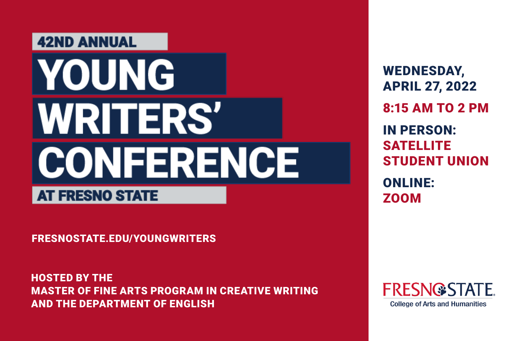# **42ND ANNUAL YOUNG WRITERS' CONFERENCE**

### **AT FRESNO STATE**

FRESNOSTATE.EDU/YOUNGWRITERS

HOSTED BY THE MASTER OF FINE ARTS PROGRAM IN CREATIVE WRITING AND THE DEPARTMENT OF ENGLISH

WEDNESDAY, APRIL 27, 2022 8:15 AM TO 2 PM IN PERSON: **SATELLITE** STUDENT UNION ONLINE: ZOOM

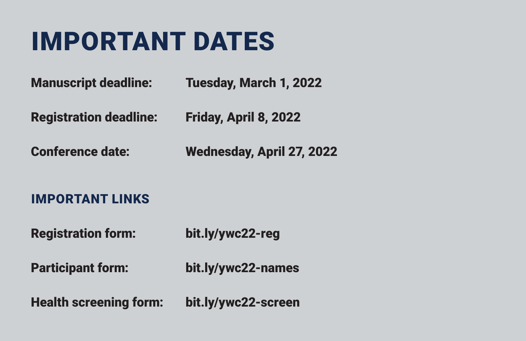### IMPORTANT DATES

Manuscript deadline: Tuesday, March 1, 2022

Registration deadline: Friday, April 8, 2022

Conference date: Wednesday, April 27, 2022

#### IMPORTANT LINKS

Registration form: bit.ly/ywc22-reg

Participant form: bit.ly/ywc22-names

Health screening form: bit.ly/ywc22-screen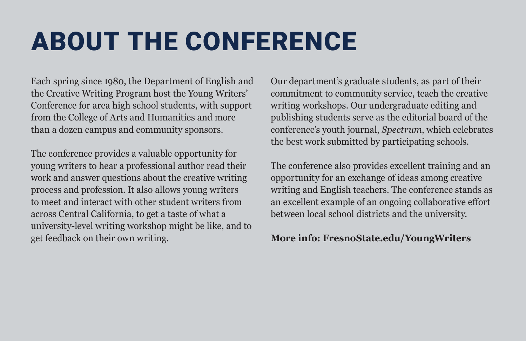### ABOUT THE CONFERENCE

Each spring since 1980, the Department of English and the Creative Writing Program host the Young Writers' Conference for area high school students, with support from the College of Arts and Humanities and more than a dozen campus and community sponsors.

The conference provides a valuable opportunity for young writers to hear a professional author read their work and answer questions about the creative writing process and profession. It also allows young writers to meet and interact with other student writers from across Central California, to get a taste of what a university-level writing workshop might be like, and to get feedback on their own writing.

Our department's graduate students, as part of their commitment to community service, teach the creative writing workshops. Our undergraduate editing and publishing students serve as the editorial board of the conference's youth journal, *Spectrum*, which celebrates the best work submitted by participating schools.

The conference also provides excellent training and an opportunity for an exchange of ideas among creative writing and English teachers. The conference stands as an excellent example of an ongoing collaborative effort between local school districts and the university.

#### **More info: FresnoState.edu/YoungWriters**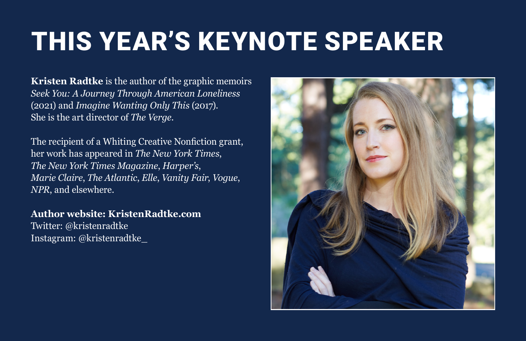### THIS YEAR'S KEYNOTE SPEAKER

**Kristen Radtke** is the author of the graphic memoirs *Seek You: A Journey Through American Loneliness* (2021) and *Imagine Wanting Only This* (2017). She is the art director of *The Verge*.

The recipient of a Whiting Creative Nonfiction grant, her work has appeared in *The New York Times*, *The New York Times Magazine*, *Harper's*, *Marie Claire*, *The Atlantic*, *Elle*, *Vanity Fair*, *Vogue*, *NPR*, and elsewhere.

**Author website: KristenRadtke.com** Twitter: @kristenradtke Instagram: @kristenradtke\_

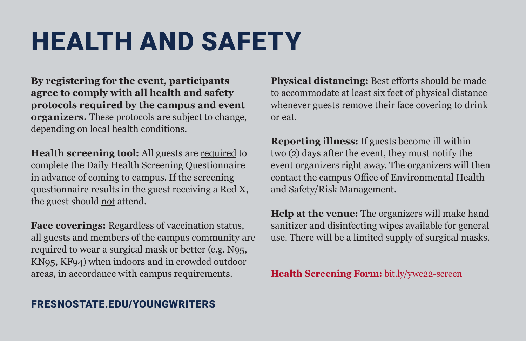### HEALTH AND SAFETY

**By registering for the event, participants agree to comply with all health and safety protocols required by the campus and event organizers.** These protocols are subject to change, depending on local health conditions.

**Health screening tool:** All guests are required to complete the Daily Health Screening Questionnaire in advance of coming to campus. If the screening questionnaire results in the guest receiving a Red X, the guest should not attend.

**Face coverings:** Regardless of vaccination status, all guests and members of the campus community are required to wear a surgical mask or better (e.g. N95, KN95, KF94) when indoors and in crowded outdoor areas, in accordance with campus requirements.

**Physical distancing:** Best efforts should be made to accommodate at least six feet of physical distance whenever guests remove their face covering to drink or eat.

**Reporting illness:** If guests become ill within two (2) days after the event, they must notify the event organizers right away. The organizers will then contact the campus Office of Environmental Health and Safety/Risk Management.

**Help at the venue:** The organizers will make hand sanitizer and disinfecting wipes available for general use. There will be a limited supply of surgical masks.

**Health Screening Form:** bit.ly/ywc22-screen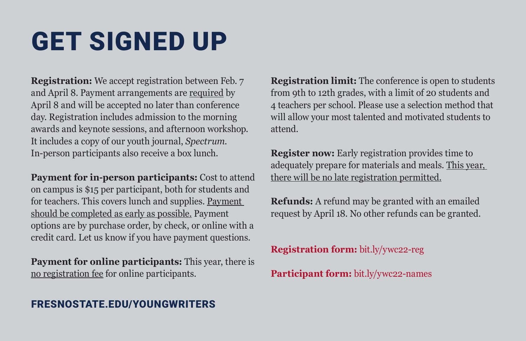## GET SIGNED UP

**Registration:** We accept registration between Feb. 7 and April 8. Payment arrangements are required by April 8 and will be accepted no later than conference day. Registration includes admission to the morning awards and keynote sessions, and afternoon workshop. It includes a copy of our youth journal, *Spectrum*. In-person participants also receive a box lunch.

**Payment for in-person participants:** Cost to attend on campus is \$15 per participant, both for students and for teachers. This covers lunch and supplies. Payment should be completed as early as possible. Payment options are by purchase order, by check, or online with a credit card. Let us know if you have payment questions.

**Payment for online participants:** This year, there is no registration fee for online participants.

FRESNOSTATE.EDU/YOUNGWRITERS

**Registration limit:** The conference is open to students from 9th to 12th grades, with a limit of 20 students and 4 teachers per school. Please use a selection method that will allow your most talented and motivated students to attend.

**Register now:** Early registration provides time to adequately prepare for materials and meals. This year, there will be no late registration permitted.

**Refunds:** A refund may be granted with an emailed request by April 18. No other refunds can be granted.

**Registration form:** bit.ly/ywc22-reg

**Participant form:** bit.ly/ywc22-names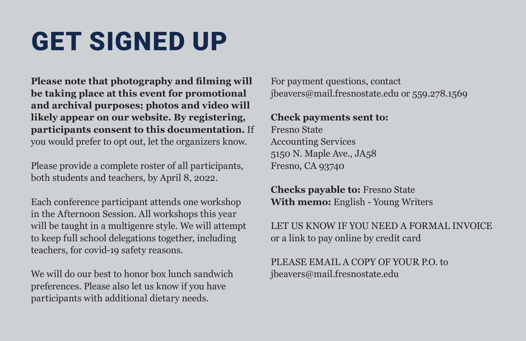### GET SIGNED UP

**Please note that photography and filming will be taking place at this event for promotional and archival purposes; photos and video will likely appear on our website. By registering, participants consent to this documentation.** If you would prefer to opt out, let the organizers know.

Please provide a complete roster of all participants, both students and teachers, by April 8, 2022.

Each conference participant attends one workshop in the Afternoon Session. All workshops this year will be taught in a multigenre style. We will attempt to keep full school delegations together, including teachers, for covid-19 safety reasons.

We will do our best to honor box lunch sandwich preferences. Please also let us know if you have participants with additional dietary needs.

For payment questions, contact jbeavers@mail.fresnostate.edu or 559.278.1569

#### **Check payments sent to:**

Fresno State Accounting Services 5150 N. Maple Ave., JA58 Fresno, CA 93740

**Checks payable to:** Fresno State **With memo:** English - Young Writers

LET US KNOW IF YOU NEED A FORMAL INVOICE or a link to pay online by credit card

PLEASE EMAIL A COPY OF YOUR P.O. to jbeavers@mail.fresnostate.edu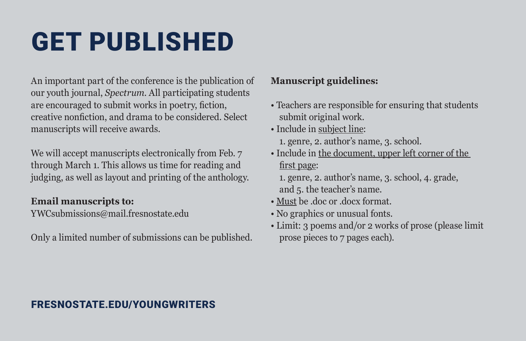### GET PUBLISHED

An important part of the conference is the publication of our youth journal, *Spectrum*. All participating students are encouraged to submit works in poetry, fiction, creative nonfiction, and drama to be considered. Select manuscripts will receive awards.

We will accept manuscripts electronically from Feb. 7 through March 1. This allows us time for reading and judging, as well as layout and printing of the anthology.

#### **Email manuscripts to:**

YWCsubmissions@mail.fresnostate.edu

Only a limited number of submissions can be published.

#### **Manuscript guidelines:**

- Teachers are responsible for ensuring that students submit original work.
- Include in subject line: 1. genre, 2. author's name, 3. school.
- Include in the document, upper left corner of the first page:

 1. genre, 2. author's name, 3. school, 4. grade, and 5. the teacher's name.

- Must be .doc or .docx format.
- No graphics or unusual fonts.
- Limit: 3 poems and/or 2 works of prose (please limit prose pieces to 7 pages each).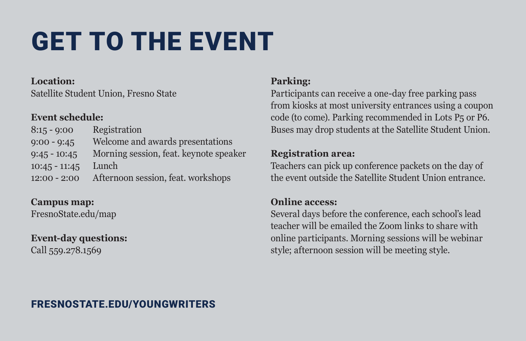# GET TO THE EVENT

#### **Location:**

Satellite Student Union, Fresno State

#### **Event schedule:**

8:15 - 9:00 Registration 9:00 - 9:45 Welcome and awards presentations 9:45 - 10:45 Morning session, feat. keynote speaker 10:45 - 11:45 Lunch 12:00 - 2:00 Afternoon session, feat. workshops

**Campus map:** FresnoState.edu/map

### **Event-day questions:**

Call 559.278.1569

#### **Parking:**

Participants can receive a one-day free parking pass from kiosks at most university entrances using a coupon code (to come). Parking recommended in Lots P5 or P6. Buses may drop students at the Satellite Student Union.

#### **Registration area:**

Teachers can pick up conference packets on the day of the event outside the Satellite Student Union entrance.

#### **Online access:**

Several days before the conference, each school's lead teacher will be emailed the Zoom links to share with online participants. Morning sessions will be webinar style; afternoon session will be meeting style.